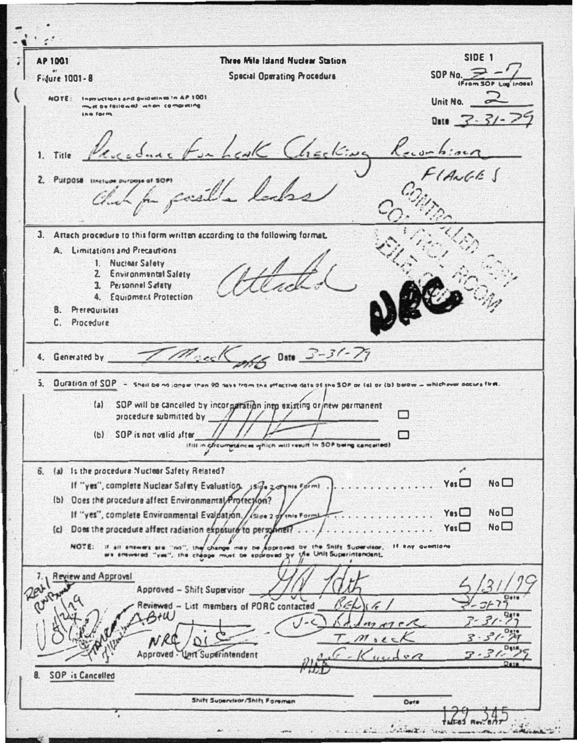SIDE 1 **AP 1001** Three Mila Island Nuclear Station SOP No.  $\geq$  -**Special Operating Procedure** Fidure 1001-8 **IFram SOP L** Instructions and guidatines in AP 1001 **NOTE:** Unit No.  $\sim$ in be followed when completing **JAN FORM** Date  $7 - 7/$ in Leak Checking Recombined 1. Title 2. Purpose line Chich for consilla lacks 3. Attach procedure to this form written according to the following format. A. Limitations and Precautions 1 Nuclear Salety 2. Environmental Salety 3. Personnel Satety 4. Equipment Protection 8. Prerequisites C. Procedure  $665$  Date  $3 - 31 - 77$ T Muck 4. Generated by  $\mathbf{1}$ Duration of SOP - Shall be no longer than 90 days from the effective date of yne SOP or Est ov (b) below - whichever socials firm SOP will be cancelled by incorgaration into existing orinew permanent  $(a)$ М procedure submitted by (b) SOP is not valid after ⊓ Ifilt in chromatences which will result in SOP being cancelled) × 6. (a) Is the procedure Nuclear Safety Related?  $Yes$  $NQ$ If "yes", complete Nuclear Safety Evaluation. Iside zarynie Formi (b) Does the procedure affect Environmental Profection?  $N_0$  $Y$ es $\square$ If "yes", complete Environmental Evaluation. / (side 2 d  $No<sub>1</sub>$  $Y$ es $\square$ (c) Does the procedure affect radiation exposure to personnel?.. NOTE: If all answers are "no", the change may be approved by the Shift Supervisor. If any questions<br>we answered "yes", the change must be sporoved by the Unit Superintandent, 7. | Review and Approval Rev Approved - Shift Supervisor Reviewed - List members of PORC contacted  $B+W$  $U-c$  $m \wedge n \in \mathcal{R}$  $M$  $N_{R}$ Approved - Unit Superintendent  $\mathfrak{g}$ **SOP** is Cancelled  $\mathbf{a}$ Shift Supervisor/Shift Foreman Deta  $\frac{1}{2}$   $\frac{1}{2}$   $\frac{1}{2}$   $\frac{1}{2}$   $\frac{1}{2}$